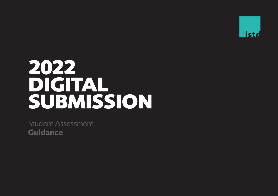

# **2022 DIGITAL SUBMISSION**

Student Assessment **Guidance**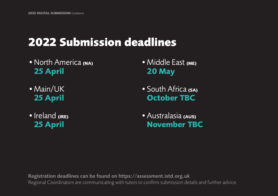# **2022 Submission deadlines**

- •North America **(NA) 25 April**
- •Main/UK **25 April**
- •Ireland **(IRE) 25 April**
- •Middle East **(ME) 20 May**
- •South Africa **(SA) October TBC**
- •Australasia **(AUS) November TBC**

Registration deadlines can be found on https://assessment.istd.org.uk Regional Coordinators are communicating with tutors to confirm submission details and further advice.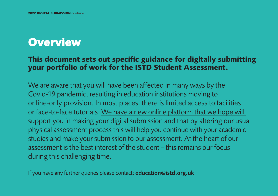# **Overview**

## **This document sets out specific guidance for digitally submitting your portfolio of work for the ISTD Student Assessment.**

We are aware that you will have been affected in many ways by the Covid-19 pandemic, resulting in education institutions moving to online-only provision. In most places, there is limited access to facilities or face-to-face tutorials. We have a new online platform that we hope will support you in making your digital submission and that by altering our usual physical assessment process this will help you continue with your academic studies and make your submission to our assessment. At the heart of our assessment is the best interest of the student – this remains our focus during this challenging time.

If you have any further queries please contact: education@istd.org.uk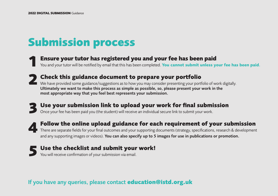# **Submission process**

**Ensure your tutor has registered you and your fee has been paid 1**

You and your tutor will be notified by email that this has been completed. **You cannot submit unless your fee has been paid**.

**Check this guidance document to prepare your portfolio 2 Check this guidance document to prepare your portfolio**<br>We have provided some guidance/suggestions as to how you may consider presenting your portfolio of work digitally. Ultimately we want to make this process as simple as possible, so, please present your work in the

most appropriate way that you feel best represents your submission.

- **Use your submission link to upload your work for final submission** Once your fee has been paid you (the student) will receive an individual secure link to submit your work. **3**
- **Follow the online upload guidance for each requirement of your submission** There are separate fields for your final outcomes and your supporting documents (strategy, specifications, research & development and any supporting images or videos). You can also specify up to 5 images for use in publications or promotion. **4**
- **5** Use the checklist and submit your work!<br>
You will receive confirmation of your submission via email. You will receive confirmation of your submission via email.

### If you have any queries, please contact **education@istd.org.uk**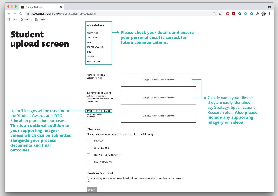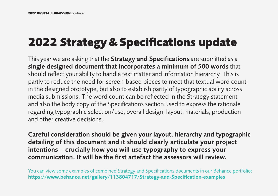# **2022 Strategy & Specifications update**

This year we are asking that the **Strategy and Specifications** are submitted as a single designed document that incorporates a minimum of 500 words that should reflect your ability to handle text matter and information hierarchy. This is partly to reduce the need for screen-based pieces to meet that textual word count in the designed prototype, but also to establish parity of typographic ability across media submissions. The word count can be reflected in the Strategy statement and also the body copy of the Specifications section used to express the rationale regarding typographic selection/use, overall design, layout, materials, production and other creative decisions.

Careful consideration should be given your layout, hierarchy and typographic detailing of this document and it should clearly articulate your project intentions – crucially how you will use typography to express your communication. It will be the first artefact the assessors will review.

You can view some examples of combined Strategy and Specifications documents in our Behance portfolio: https://www.behance.net/gallery/113804717/Strategy-and-Specification-examples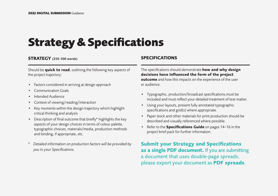# **Strategy & Specifications**

### **STRATEGY** (250–500 words)

Should be **quick to read**, outlining the following key aspects of the project trajectory:

- Factors considered in arriving at design approach
- Communication Goals
- Intended Audience
- Context of viewing/reading/interaction
- Key moments within the design trajectory which highlight critical thinking and analysis
- Description of final outcome that briefly\* highlights the key aspects of your design choices in terms of colour palette, typographic choices, materials/media, production methods and binding, if appropriate, etc.
- *\* Detailed information on production factors will be provided by you in your Specifications.*

### **SPECIFICATIONS**

The specifications should demonstrate **how and why design decisions have influenced the form of the project outcome** and how this impacts on the experience of the user or audience.

- Typographic, production/broadcast specifications,must be included and must reflect your detailed treatment of text matter.
- Using your layouts, present fully annotated typographic specifications and grid(s) where appropriate.
- Paper stock and other materials for print production should be described and visually referenced where possible.
- Refer to the **Specifications Guide** on pages 14–16 in the project brief pack for further information.

**Submit your Strategy and Specifications as a single PDF document.** If you are submitting a document that uses double-page spreads, please export your document as **PDF spreads**.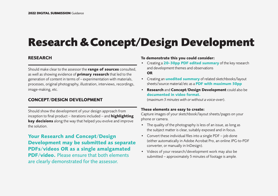# **Research & Concept/Design Development**

### **RESEARCH**

Should make clear to the assessor the **range of sources** consulted, as well as showing evidence of **primary research** that led to the generation of content in terms of – experimentation with materials, processes, original photography, illustration, interviews, recordings, image-making, etc.

### **CONCEPT/DESIGN DEVELOPMENT**

Should show the development of your design approach from inception to final product – iterations included – and **highlighting key decisions** along the way that helped you evolve and improve the solution.

**Your Research and Concept/Design Development may be submitted as separate PDFs/videos OR as a single amalgamated PDF/video.** Please ensure that both elements are clearly demonstrated for the assessor.

### **To demonstrate this you could consider:**

- Creating a **20–30pp PDF edited summary** of the key research and development themes and observations **OR**
- Creating an **unedited summary** of related sketchbooks/layout sheets/source material/etc as a **PDF with maximum 50pp**
- **• Research** and **Concept/Design Development** could also be **documented in video format.**

(*maximum 5 minutes with or without a voice-over*).

### **These elements are easy to create:**

Capture images of your sketchbook/layout sheets/pages on your phone or camera.

- The quality of the photography is less of an issue, as long as the subject matter is clear, suitably exposed and in focus.
- Convert these individual files into a single PDF job done (either automatically in Adobe Acrobat Pro, an online JPG-to-PDF converter, or manually in InDesign).
- Videos of your research/development work may also be submitted – approximately 5 minutes of footage is ample.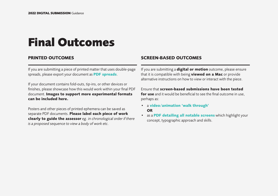# **Final Outcomes**

### **PRINTED OUTCOMES**

If you are submitting a piece of printed matter that uses double-page spreads, please export your document as **PDF spreads**.

If your document contains fold-outs, tip-ins, or other devices or finishes, please showcase how this would work within your final PDF document. **Images to support more experimental formats can be included here.** 

Posters and other pieces of printed ephemera can be saved as separate PDF documents. **Please label each piece of work clearly to guide the assessor** *eg. in chronological order if there is a proposed sequence to view a body of work etc.*

### **SCREEN-BASED OUTCOMES**

If you are submitting a **digital or motion** outcome, please ensure that it is compatible with being **viewed on a Mac** or provide alternative instructions on how to view or interact with the piece.

Ensure that **screen-based submissions have been tested for use** and it would be beneficial to see the final outcome in use. perhaps as:

- a **video/animation 'walk through' OR**
- as a **PDF detailing all notable screens** which highlight your concept, typographic approach and skills.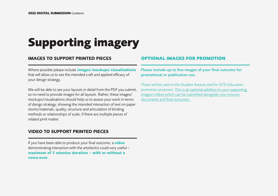# **Supporting imagery**

### **IMAGES TO SUPPORT PRINTED PIECES**

Where possible please include **images/mockups/visualisations**  that will allow us to see the intended craft and applied efficacy of your design strategy.

We will be able to see your layouts in detail from the PDF you submit, so no need to provide images for all layouts. Rather, these images/ mockups/visualisations should help us to assess your work in terms of design strategy, showing the intended interaction of text on paper stocks/materials, quality, structure and articulation of binding methods or relationships of scale, if there are multiple pieces of related print matter.

### **VIDEO TO SUPPORT PRINTED PIECES**

If you have been able to produce your final outcome, a **video** demonstrating interaction with the artefact(s) could very useful – **maximum of 5 minutes duration – with or without a voice-over.**

### **OPTIONAL IMAGES FOR PROMOTION**

Please include up to five images of your final outcome for promotional or publication use.

These will be used in the Student Awards and for ISTD Education promotion purposes. This is an optional addition to your supporting images/videos which can be submitted alongside your process documents and final outcomes.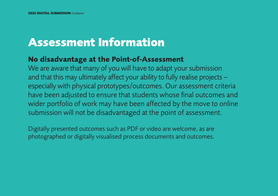# **Assessment Information**

## **No disadvantage at the Point-of-Assessment**

We are aware that many of you will have to adapt your submission and that this may ultimately affect your ability to fully realise projects – especially with physical prototypes/outcomes. Our assessment criteria have been adjusted to ensure that students whose final outcomes and wider portfolio of work may have been affected by the move to online submission will not be disadvantaged at the point of assessment.

Digitally presented outcomes such as PDF or video are welcome, as are photographed or digitally visualised process documents and outcomes.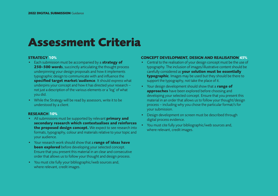# **Assessment Criteria**

#### **STRATEGY 10%**

- Each submission must be accompanied by a **strategy of 250–500 word**s, succinctly articulating the thought process underpinning your design proposals and how it implements typographic design to communicate with and influence the **specified target market/audience**. It should express what underpins your concept and how it has directed your research – not just a description of the various elements or a 'log' of what you did.
- While the Strategy will be read by assessors, write it to be understood by a client.

### **RESEARCH 10%**

- All submissions must be supported by relevant **primary and secondary research which contextualises and reinforces the proposed design concept.** We expect to see research into formats, typography, colour and materials relative to your topic and your audience.
- Your research work should show that a **range of ideas have been explored** before developing your selected concept. Ensure that you present this material in an clear and consecutive order that allows us to follow your thought and design process.
- You must cite fully your bibliographic/web sources and, where relevant, credit images.

### **CONCEPT DEVELOPMENT, DESIGN AND REALISATION 45%**

- Central to the realisation of your design concept must be the use of typography. The inclusion of images/illustrative content should be carefully considered as **your solution must be essentially typographic**. Images may be used but they should be there to support the typography, not take the place of it.
- Your design development should show that a **range of approaches** have been explored before choosing and developing your selected concept. Ensure that you present this material in an order that allows us to follow your thought/design process – including why you chose the particular format/s for your submission.
- Design development on screen must be described through digital process evidence.
- You must cite fully your bibliographic/web sources and, where relevant, credit images.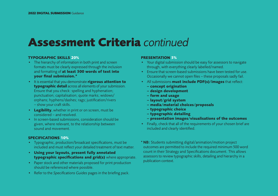# **Assessment Criteria** *continued*

### **TYPOGRAPHIC SKILLS 20%**

- The hierarchy of information in both print and screen formats must be clearly expressed through the inclusion and formatting of **at least 500 words of text into your final submission.\***
- It is essential that you demonstrate **rigorous attention to typographic detail** across all elements of your submission. Ensure that you check: spelling and hyphenation; punctuation; capitalisation; quote marks; widows/ orphans; hyphens/dashes; rags; justification/rivers – show your craft skills.
- **• Legibility**, whether in print or on screen, must be considered – and resolved.
- In screen-based submissions, consideration should be given, where relevant, to the relationship between sound and movement.

### **SPECIFICATIONS 10%**

- Typographic, production/broadcast specifications, must be included and must reflect your detailed treatment of text matter.
- **• Using your layouts, present fully annotated typographic specifications and grid(s)** where appropriate.
- Paper stock and other materials proposed for print production should be referenced where possible.
- Refer to the *Specifications Guides* pages in the briefing pack.

### **PRESENTATION 5%**

- Your digital submission should be easy for assessors to navigate through, with everything clearly labelled/named.
- Ensure that screen-based submissions have been tested for use. Occasionally we cannot open files – these proposals sadly fail.
- All submissions **must include PDF(s)/images** that reflect:
	- **concept origination**
	- **design development**
	- **form and usage**
	- **layout/grid system**
	- **media/material choices/proposals**
	- **typographic choice**
	- **typographic detailing**
	- **presentation images/visualisations of the outcomes**
- Finally, check that all of the requirements of your chosen brief are included and clearly identified.
- \* NB: Students submitting digital/animation/motion project outcomes are permitted to include the required minimum 500 word count in their Strategy and Specifications document. This allows assessors to review typographic skills, detailing and hierarchy in a publication context.